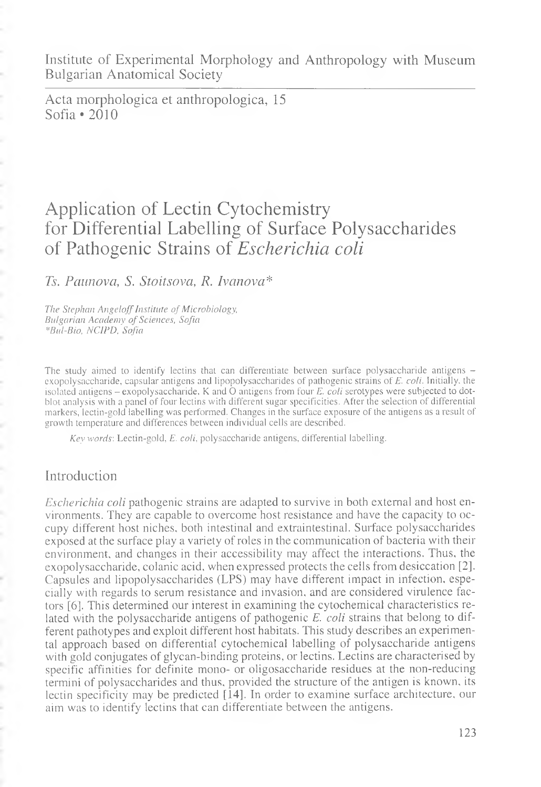Institute of Experimental Morphology and Anthropology with Museum Bulgarian Anatomical Society

Acta morphologica et anthropologica, 15 Sofia \*2010

# Application of Lectin Cytochemistry for Differential Labelling of Surface Polysaccharides of Pathogenic Strains of *Escherichia coli*

*Ts. Pciunova, S. Stoitsova, R. Ivanova\**

*The Stephan Angeloff Institute of Microbiology, Bulgarian Academy of Sciences, Sofia \*B и I-Bio, NCI PD, Sofia*

The study aimed to identify lectins that can differentiate between surface polysaccharide antigens exopolysaccharide, capsular antigens and Iipopolysaccharides of pathogenic strains of *E. coli.* Initially, the isolated antigens - exopolysaccharide, K and O antigens from four *E. coli* serotypes were subjected to dotblot analysis with a panel of four lectins with different sugar specificities. After the selection of differential markers, lectin-gold labelling was performed. Changes in the surface exposure of the antigens as a result of growth temperature and differences between individual cells are described.

*Key words'.* Lectin-gold, *E. coli,* polysaccharide antigens, differential labelling.

## Introduction

*Escherichia coli* pathogenic strains are adapted to survive in both external and host environments. They are capable to overcome host resistance and have the capacity to occupy different host niches, both intestinal and extraintestinal. Surface polysaccharides exposed at the surface play a variety of roles in the communication of bacteria with their environment, and changes in their accessibility may affect the interactions. Thus, the exopolysaccharide, colanic acid, when expressed protects the cells from desiccation [2]. Capsules and Iipopolysaccharides (LPS) may have different impact in infection, especially with regards to serum resistance and invasion, and are considered virulence factors [6]. This determined our interest in examining the cytochemical characteristics related with the polysaccharide antigens of pathogenic *E. coli* strains that belong to different pathotypes and exploit different host habitats. This study describes an experimental approach based on differential cytochemical labelling of polysaccharide antigens with gold conjugates of glycan-binding proteins, or lectins. Lectins are characterised by specific affinities for definite mono- or oligosaccharide residues at the non-reducing termini of polysaccharides and thus, provided the structure of the antigen is known, its lectin specificity may be predicted [14]. In order to examine surface architecture, our aim was to identify lectins that can differentiate between the antigens.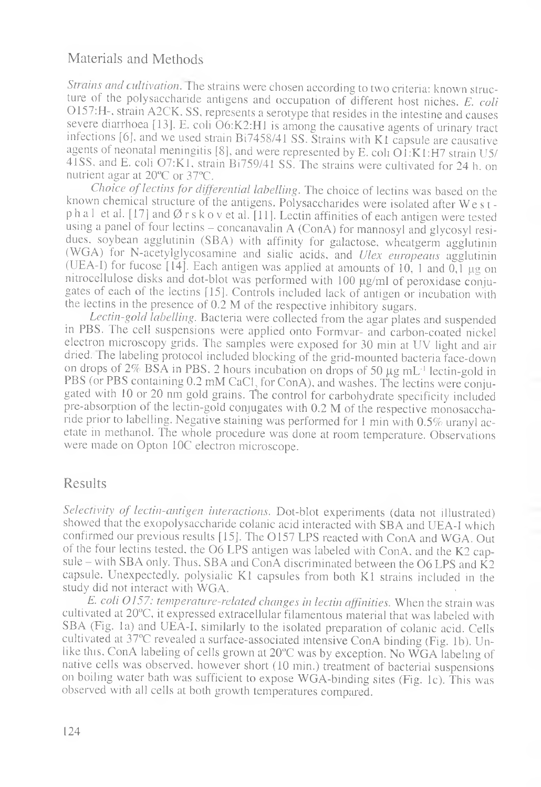## Materials and Methods

*Strains and cultivation*. The strains were chosen according to two criteria: known structure of the polysaccharide antigens and occupation of different host niches. *E. coli* 0157:H-, strain A2CK. SS, represents a serotype that resides in the intestine and causes severe diarrhoea [13]. E. coli O6:K2:H1 is among the causative agents of urinary tract infections [6j, and we used strain Bi7458/41 SS. Strains with K1 capsule are causative agents of neonatal meningitis [8], and were represented by E. coli  $O1:K1:H7$  strain U5/ 41SS, and E. coli 07:K1, strain Bi759/41 SS. The strains were cultivated for 24 h. on nutrient agar at 20°C or 37°C.

*Choice of lectins for differential labelling*. The choice of lectins was based on the known chemical structure of the antigens. Polysaccharides were isolated after W e s t p h a 1 et al. [17] and  $\emptyset$  r s k o v et al. [11]. Lectin affinities of each antigen were tested using a panel of four lectins - concanavalin A (ConA) for mannosyl and glycosyl residues. soybean agglutinin (SBA) with affinity for galactose, wheatgerm agglutinin (WGA) for N-acetylglycosamine and sialic acids, and *Ulex europeaus* agglutinin (UEA-I) for fucose [14]. Each antigen was applied at amounts of 10, 1 and  $0,\bar{1}$  µg on nitrocellulose disks and dot-blot was performed with 100 µg/ml of peroxidase conjugates of each of the lectins [15]. Controls included lack of antigen or incubation with the lectins in the presence of 0.2 M of the respective inhibitory sugars.

*Lectin-gold labelling.* Bacteria were collected from the agar plates and suspended in PBS. The cell suspensions were applied onto Formvar- and carbon-coated nickel electron microscopy grids. The samples were exposed for 30 min at UV light and air dried. The labeling protocol included blocking of the grid-mounted bacteria face-down on drops of  $2\%$  BSA in PBS. 2 hours incubation on drops of 50  $\mu$ g mL<sup>-1</sup> lectin-gold in PBS (or PBS containing 0.2 mM CaCl, for ConA), and washes. The lectins were conjugated with 10 or 20 nm gold grains. The control for carbohydrate specificity included pre-absorption of the lectin-gold conjugates with 0.2 M of the respective monosaccharide prior to labelling. Negative staining was performed for 1 min with 0.5% uranyl acetate in methanol. The whole procedure was done at room temperature. Observations were made on Opton 10C electron microscope.

## Results

Selectivity of lectin-antigen interactions. Dot-blot experiments (data not illustrated) showed that the exopolysaccharide colanic acid interacted with SBA and UEA-I which confirmed our previous results [15]. The 0157 LPS reacted with ConA and WGA. Out of the four lectins tested, the O6 LPS antigen was labeled with ConA, and the K2 capsule – with SBA only. Thus, SBA and ConA discriminated between the O6 LPS and  $\hat{K}2$ capsule. Unexpectedly, polysialic K1 capsules from both K1 strains included in the study did not interact with WGA. .

*E. coli 0157: temperature-related changes in lectin affinities.* When the strain was cultivated at 20°C, it expressed extracellular filamentous material that was labeled with SBA (Fig. la) and UEA-I, similarly to the isolated preparation of colanic acid. Cells cultivated at 37°C revealed a surface-associated intensive ConA binding (Fig. lb). Unlike this, ConA labeling of cells grown at 20°C was by exception. No WGA labeling of native cells was observed, however short (10 min.) treatment of bacterial suspensions on boiling water bath was sufficient to expose WGA-binding sites (Fig. lc). This was observed with all cells at both growth temperatures compared.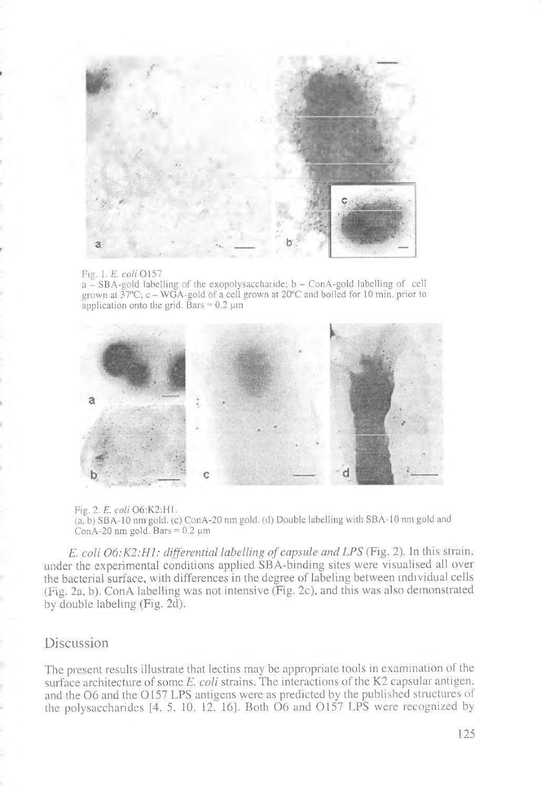

#### Fig. 1. *E. coli* 0157

 $a - SBA$ -gold labelling of the exopolysaccharide;  $b - ConA$ -gold labelling of cell grown at *ЪТС\* c - WGA-gold of a cell grown at 20°C and boiled for 10 min. prior to application onto the grid. Bars  $= 0.2 \mu m$ 



Fig. 2. *E. coli* 06:K2:H1. (a, b) SBA-10 nm gold, (c) ConA-20 nm gold, (d) Double labelling with SBA-10 nm gold and ConA-20 nm gold. Bars =  $0.2 \mu m$ 

*E. coli O6:K2:H1: differential labelling of capsule and LPS* (Fig. 2). In this strain, under the experimental conditions applied SBA-binding sites were visualised all over the bacterial surface, with differences in the degree of labeling between individual cells (Fig. 2a, b). ConA labelling was not intensive (Fig. 2c), and this was also demonstrated by double labeling (Fig. 2d).

#### Discussion

The present results illustrate that lectins may be appropriate tools in examination of the surface architecture of some *E. coli* strains. The interactions of the K2 capsular antigen, and the O6 and the O157 LPS antigens were as predicted by the published structures of the polysaccharides  $[4, 5, 10, 12, 16]$ . Both  $\overrightarrow{O6}$  and  $\overrightarrow{O157}$  LPS were recognized by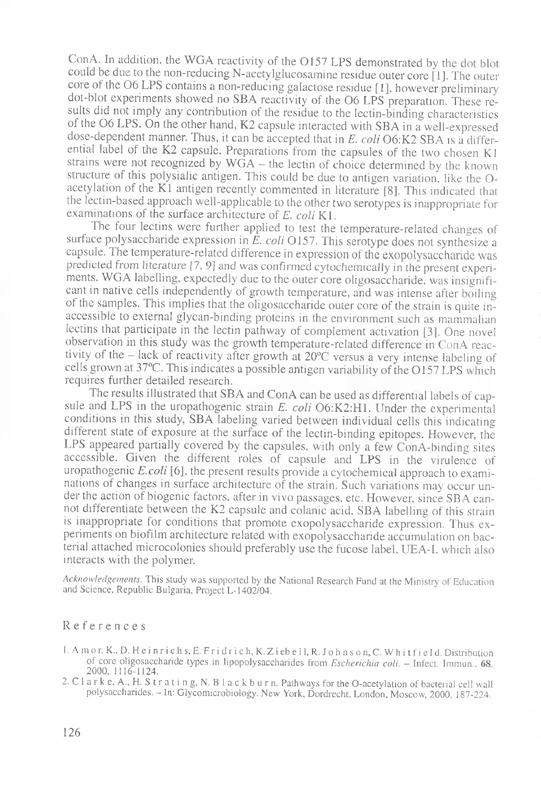ConA. In addition, the WGA reactivity of the 0157 LPS demonstrated by the dot blot could be due to the non-reducing N-acetylglucosamine residue outer core [1], The outer core of the O6 LPS contains a non-reducing galactose residue [1], however preliminary dot-blot experiments showed no SBA reactivity of the 06 LPS preparation. These results did not imply any contribution of the residue to the lectin-binding characteristics of the 06 LPS. On the other hand, K2 capsule interacted with SBA in a well-expressed dose-dependent manner. Thus, it can be accepted that in *E. coli* 06:K2 SBA is a differential label of the K2 capsule. Preparations from the capsules of the two chosen K1 strains were not recognized by WGA — the lectin of choice determined by the known structure of this polysialic antigen. This could be due to antigen variation, like the Oacetylation of the K1 antigen recently commented in literature [8]. This indicated that the lectin-based approach well-applicable to the other two serotypes is inappropriate for examinations of the surface architecture of *E. coli* Kl.

The four lectins were further applied to test the temperature-related changes of surface polysaccharide expression in *E. coli* 0157. This serotype does not synthesize a capsule. The temperature-related difference in expression of the exopolysaccharide was predicted from literature [7, 9] and was confirmed cytochemically in the present experiments. WGA labelling, expectedly due to the outer core oligosaccharide, was insignificant in native cells independently of growth temperature, and was intense after boiling of the samples. This implies that the oligosaccharide outer core of the strain is quite inaccessible to external glycan-binding proteins in the environment such as mammalian lectins that participate in the lectin pathway of complement activation [3]. One novel observation in this study was the growth temperature-related difference in ConA reactivity of the — lack of reactivity after growth at 20°C versus a very intense labeling of cells grown at 37°C. This indicates a possible antigen variability of the 0157 LPS which requires further detailed research.

The results illustrated that SBA and ConA can be used as differential labels of capsule and LPS in the uropathogenic strain *E. coli* 06:K2:H1. Under the experimental conditions in this study, SBA labeling varied between individual cells this indicating different state of exposure at the surface of the lectin-binding epitopes. However, the LPS appeared partially covered by the capsules, with only a few ConA-binding sites accessible. Given the different roles of capsule and LPS in the virulence of uropathogenic *E.coli* [6], the present results provide a cytochemical approach to examinations of changes in surface architecture of the strain. Such variations may occur under the action of biogenic factors, after in vivo passages, etc. However, since SBA cannot differentiate between the K2 capsule and colanic acid, SBA labelling of this strain is inappropriate for conditions that promote exopolysaccharide expression. Thus experiments on biofilm architecture related with exopolysaccharide accumulation on bacterial attached microcolonies should preferably use the fucose label, UEA-I, which also interacts with the polymer.

*Acknowledgements.* This study was supported by the National Research Fund at the Ministry of Education and Science, Republic Bulgaria, Project L-1402/04.

#### References

- 1. A m o r, K., D. H e i n r i c h s, E. F r i d r i c h, K. Z i eb e 11, R. J o h n s o n, C. W h i t f i e 1 d. Distribution of core oligosaccharide types in lipopolysaccharides from *Escherichia coli.* — Infect. Immun.. 68 2000, 1116-1124.
- 2. C l a r k e, A., H. S trating, N. B l a c k b u rn. Pathways for the O-acetylation of bacterial cell wall polysaccharides. - In: Glycomicrobiology. New York, Dordrecht, London, Moscow, 2000, 187-224.